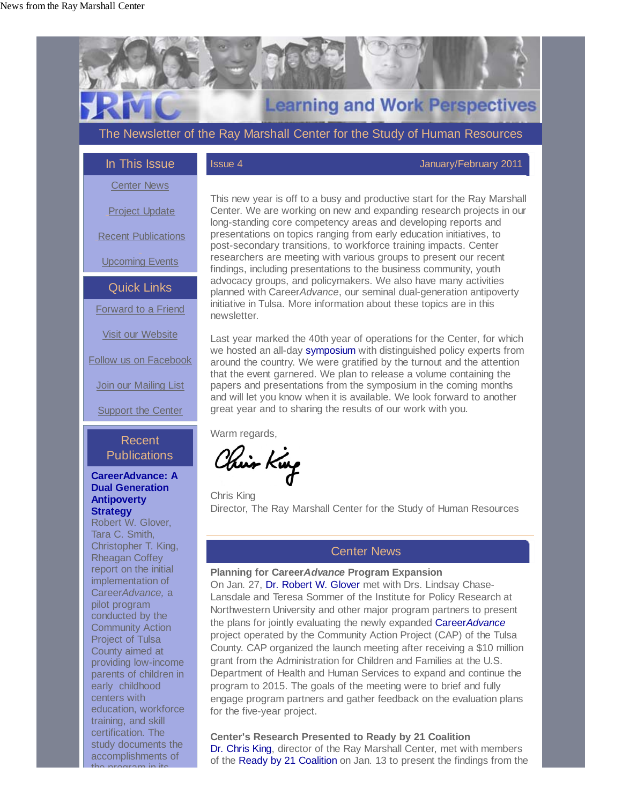

Last year marked the 40th year of operations for the Center, for which we hosted an all-day symposium with distinguished policy experts from around the country. We were gratified by the turnout and the attention that the event garnered. We plan to release a volume containing the papers and presentations from the symposium in the coming months and will let you know when it is available. We look forward to another great year and to sharing the results of our work with you.

Warm regards,

Chin King

Chris King Director, The Ray Marshall Center for the Study of Human Resources

## Center News

**Planning for Career***Advance* **Program Expansion** On Jan. 27, Dr. Robert W. Glover met with Drs. Lindsay Chase-Lansdale and Teresa Sommer of the Institute for Policy Research at Northwestern University and other major program partners to present the plans for jointly evaluating the newly expanded Career*Advance* project operated by the Community Action Project (CAP) of the Tulsa County. CAP organized the launch meeting after receiving a \$10 million grant from the Administration for Children and Families at the U.S. Department of Health and Human Services to expand and continue the program to 2015. The goals of the meeting were to brief and fully engage program partners and gather feedback on the evaluation plans for the five-year project.

**Center's Research Presented to Ready by 21 Coalition** Dr. Chris King, director of the Ray Marshall Center, met with members of the Ready by 21 Coalition on Jan. 13 to present the findings from the

# Recent **Publications**

Follow us on Facebook

**Join our Mailing List** 

**Support the Center** 

#### **CareerAdvance: A Dual Generation Antipoverty Strategy**

Robert W. Glover, Tara C. Smith, Christopher T. King, Rheagan Coffey report on the initial implementation of Career*Advance,* a pilot program conducted by the Community Action Project of Tulsa County aimed at providing low-income parents of children in early childhood centers with education, workforce training, and skill certification. The study documents the accomplishments of

the program in its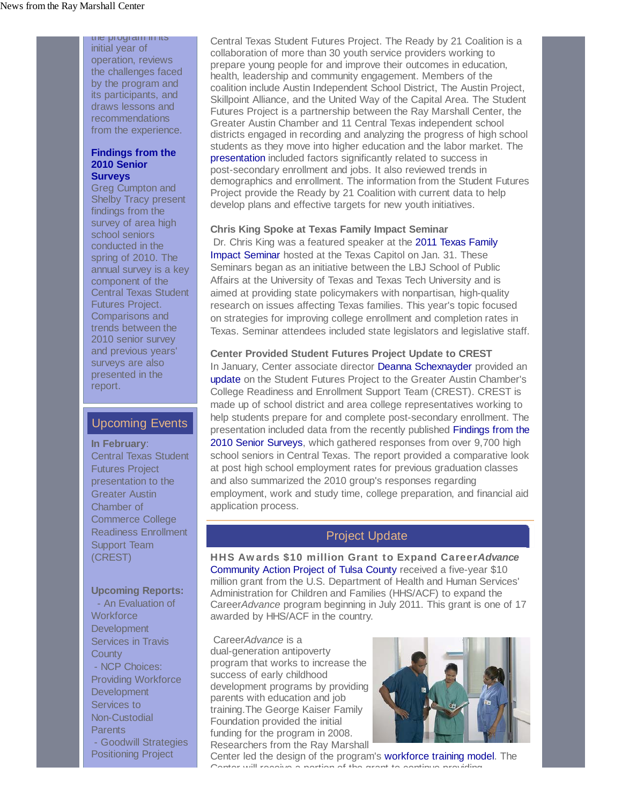the program in its initial year of operation, reviews the challenges faced by the program and its participants, and draws lessons and recommendations from the experience.

## **Findings from the 2010 Senior Surveys**

Greg Cumpton and Shelby Tracy present findings from the survey of area high school seniors conducted in the spring of 2010. The annual survey is a key component of the Central Texas Student Futures Project. Comparisons and trends between the 2010 senior survey and previous years' surveys are also presented in the report.

## Upcoming Events

**In February**: Central Texas Student Futures Project presentation to the Greater Austin Chamber of Commerce College Readiness Enrollment Support Team (CREST)

#### **Upcoming Reports:**

 - An Evaluation of **Workforce Development** Services in Travis **County**  - NCP Choices: Providing Workforce **Development** Services to Non-Custodial **Parents**  - Goodwill Strategies Positioning Project

Central Texas Student Futures Project. The Ready by 21 Coalition is a collaboration of more than 30 youth service providers working to prepare young people for and improve their outcomes in education, health, leadership and community engagement. Members of the coalition include Austin Independent School District, The Austin Project, Skillpoint Alliance, and the United Way of the Capital Area. The Student Futures Project is a partnership between the Ray Marshall Center, the Greater Austin Chamber and 11 Central Texas independent school districts engaged in recording and analyzing the progress of high school students as they move into higher education and the labor market. The presentation included factors significantly related to success in post-secondary enrollment and jobs. It also reviewed trends in demographics and enrollment. The information from the Student Futures Project provide the Ready by 21 Coalition with current data to help develop plans and effective targets for new youth initiatives.

## **Chris King Spoke at Texas Family Impact Seminar**

Dr. Chris King was a featured speaker at the 2011 Texas Family Impact Seminar hosted at the Texas Capitol on Jan. 31. These Seminars began as an initiative between the LBJ School of Public Affairs at the University of Texas and Texas Tech University and is aimed at providing state policymakers with nonpartisan, high-quality research on issues affecting Texas families. This year's topic focused on strategies for improving college enrollment and completion rates in Texas. Seminar attendees included state legislators and legislative staff.

**Center Provided Student Futures Project Update to CREST**  In January, Center associate director Deanna Schexnayder provided an update on the Student Futures Project to the Greater Austin Chamber's College Readiness and Enrollment Support Team (CREST). CREST is made up of school district and area college representatives working to help students prepare for and complete post-secondary enrollment. The presentation included data from the recently published Findings from the 2010 Senior Surveys, which gathered responses from over 9,700 high school seniors in Central Texas. The report provided a comparative look at post high school employment rates for previous graduation classes and also summarized the 2010 group's responses regarding employment, work and study time, college preparation, and financial aid application process.

# Project Update

HHS Awards \$10 million Grant to Expand Career*Advance* Community Action Project of Tulsa County received a five-year \$10 million grant from the U.S. Department of Health and Human Services' Administration for Children and Families (HHS/ACF) to expand the Career*Advance* program beginning in July 2011. This grant is one of 17 awarded by HHS/ACF in the country.

 Career*Advance* is a dual-generation antipoverty program that works to increase the success of early childhood development programs by providing parents with education and job training.The George Kaiser Family Foundation provided the initial funding for the program in 2008. Researchers from the Ray Marshall



Center led the design of the program's workforce training model. The Center will receive a portion of the grant to continue pro